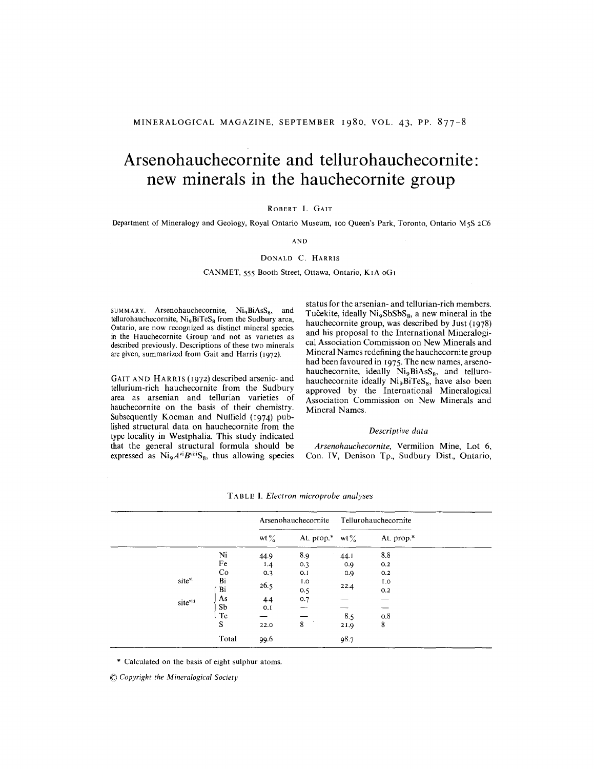# **Arsenohauchecornite and tellurohauchecornite: new minerals in the hauchecornite group**

## ROBERT I. GAIT

Department of Mineralogy and Geology, Royal Ontario Museum, 100 Queen's Park, Toronto, Ontario M5S 2C6

AND

# DONALD C. HARRIS

## CANMET, 555 Booth Street, Ottawa, Ontario, KIA OGI

SUMMARY. Arsenohauchecornite,  $Ni<sub>9</sub>BiAsS<sub>8</sub>$ , and tellurohauchecornite,  $Ni<sub>9</sub>BiTeS<sub>8</sub>$  from the Sudbury area, Ontario, are now recognized as distinct mineral species in the Hauchecornite Group 'and not as varieties as described previously. Descriptions of these two minerals are given, summarized from Gait and Harris (1972).

GAIT AND HARRIS (1972) described arsenic- and tellurium-rich hauchecornite from the Sudbury area as arsenian and tellurian varieties of hauchecornite on the basis of their chemistry. Subsequently Kocman and Nuffield (1974) published structural data on hauchecornite from the type locality in Westphalia. This study indicated that the general structural formula should be expressed as  $Ni<sub>9</sub>A<sup>vi</sup>B<sup>viii</sup>S<sub>8</sub>$ , thus allowing species status for the arsenian- and tellurian-rich members. Tučekite, ideally Ni<sub>9</sub>SbSbS<sub>8</sub>, a new mineral in the hauchecornite group, was described by Just (1978) and his proposal to the International Mineralogical Association Commission on New Minerals and Mineral Names redefining the hauchecornite group had been favoured in 1975. The new names, arsenohauchecornite, ideally  $Ni<sub>9</sub>BiAsS<sub>8</sub>$ , and tellurohauchecornite ideally Ni<sub>9</sub>BiTeS<sub>8</sub>, have also been approved by the International Mineralogical Association Commission on New Minerals and Mineral Names.

### *Descriptive data*

*Arsenohauchecornite,* Vermilion Mine, Lot 6, Con. IV, Denison Tp., Sudbury Dist., Ontario,

|          |                | Arsenohauchecornite |                             | Tellurohauchecornite |              |
|----------|----------------|---------------------|-----------------------------|----------------------|--------------|
|          |                | wt $\%$             | At. prop.* wt $\frac{9}{6}$ |                      | At. prop.*   |
|          | Ni             | 44.9                | 8.9                         | 44.1                 | 8.8          |
|          | Fe             | I.4                 | 0.3                         | 0.9                  | 0.2          |
|          | Co             | 0.3                 | 0.1                         | 0.9                  | 0.2          |
| sitevi   | Bi             | 26.5                | I.O                         | 22.4                 | L.O          |
|          | Bi             |                     | 0.5                         |                      | 0.2          |
| siteviii | As             | 4.4                 | 0.7                         |                      |              |
|          | S <sub>b</sub> | 0.I                 |                             |                      |              |
|          | Te             |                     |                             | 8.5                  | $_{\rm 0.8}$ |
|          | S              | 22.0                | 8                           | 21.9                 | $\bf 8$      |
|          | Total          | 99.6                |                             | 98.7                 |              |

T ABLE I. *Electron microprobe analyses*

\* Calculated on the basis of eight sulphur atoms.

~Copyright*the Mineralogical Society*